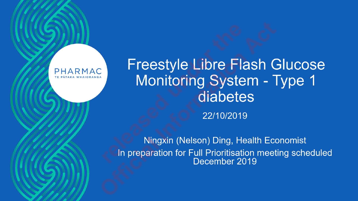#### PHARMAC

### **Freestyle Libre Flash Glucose** Monitoring System - Type 1 diabetes

22/10/2019

Ningxin (Nelson) Ding, Health Economist In preparation for Full Prioritisation meeting scheduled<br>December 2019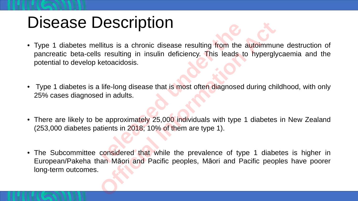## Disease Description

- Type 1 diabetes mellitus is a chronic disease resulting from the autoimmune destruction of pancreatic beta-cells resulting in insulin deficiency. This leads to hyperglycaemia and the potential to develop ketoacidosis. **relative is a chronic disease resulting from the resulting in insulin deficiency. This leads etoacidosis.**<br> **life-long disease that is most often diagnosed in adults.**<br> **example 1.10% of them are type 1.1.**<br> **example 1.10**
- Type 1 diabetes is a life-long disease that is most often diagnosed during childhood, with only 25% cases diagnosed in adults.
- There are likely to be approximately 25,000 individuals with type 1 diabetes in New Zealand (253,000 diabetes patients in 2018; 10% of them are type 1).
- The Subcommittee considered that while the prevalence of type 1 diabetes is higher in European/Pakeha than Māori and Pacific peoples, Māori and Pacific peoples have poorer long-term outcomes. **Official International International International International International International International International International International International International International International International In**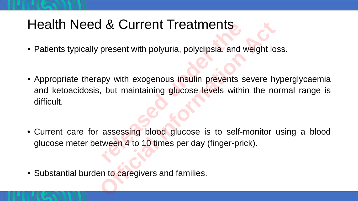#### Health Need & Current Treatments

- Patients typically present with polyuria, polydipsia, and weight loss.
- Appropriate therapy with exogenous insulin prevents severe hyperglycaemia and ketoacidosis, but maintaining glucose levels within the normal range is difficult. **EXECUTTENT ITEATMENTS**<br>present with polyuria, polydipsia, and<br>py with exogenous insulin prevents s<br>but maintaining glucose levels with<br>assessing blood glucose is to self-<br>ween 4 to 10 times per day (finger-pri **Example 11 Featments**<br>present with polyuria, polydipsia, and weight look<br>apy with exogenous insulin prevents severe h<br>b. but maintaining glucose levels within the not<br>assessing blood glucose is to self-monitor<br>tween 4 to
- Current care for assessing blood glucose is to self-monitor using a blood glucose meter between 4 to 10 times per day (finger-prick).

• Substantial burden to caregivers and families.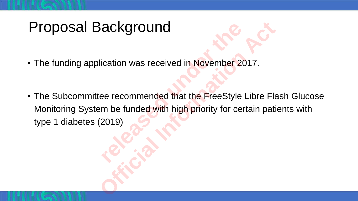## Proposal Background

- The funding application was received in November 2017.
- The Subcommittee recommended that the FreeStyle Libre Flash Glucose Monitoring System be funded with high priority for certain patients with type 1 diabetes (2019) **release to the Strategier of the Strategier of the Strategier exercemmended that the FreeStyle m be funded with high priority for ce Sackground**<br>
lication was received in November 2017.<br>
ee recommended that the FreeStyle Libre Flat<br>
am be funded with high priority for certain pati<br>
(2019)<br>
Carrier Carrier Carrier De Carrier Carrier De Carrier Carrier D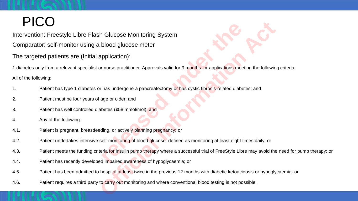#### PICO

Intervention: Freestyle Libre Flash Glucose Monitoring System

Comparator: self-monitor using a blood glucose meter

The targeted patients are (Initial application):

1 diabetes only from a relevant specialist or nurse practitioner. Approvals valid for 9 months for applications meeting the following criteria: **release Monitoring System**<br> **release Monitoring System**<br> **release of the propriations:**<br> **release thas undergone a pancreatectomy or has cystic fibrosis-related diabe<br>
age or older; and<br>
betes (≤58 mmol/mol); and<br>
ding, o Charging Constant Act and Science Constant Act and Science Constrained Machineters (s58 mmol/mol); and**<br>
Biological Information Approvals valid for 9 months for applications meeting the following<br>
The mas undergone a panc

All of the following:

- 1. Patient has type 1 diabetes or has undergone a pancreatectomy or has cystic fibrosis-related diabetes; and
- 2. Patient must be four years of age or older; and
- 3. Patient has well controlled diabetes (≤58 mmol/mol); and
- 4. Any of the following:
- 4.1. Patient is pregnant, breastfeeding, or actively planning pregnancy; or
- 4.2. Patient undertakes intensive self-monitoring of blood glucose, defined as monitoring at least eight times daily; or
- 4.3. Patient meets the funding criteria for insulin pump therapy where a successful trial of FreeStyle Libre may avoid the need for pump therapy; or
- 4.4. Patient has recently developed impaired awareness of hypoglycaemia; or
- 4.5. Patient has been admitted to hospital at least twice in the previous 12 months with diabetic ketoacidosis or hypoglycaemia; or
- 4.6. Patient requires a third party to carry out monitoring and where conventional blood testing is not possible.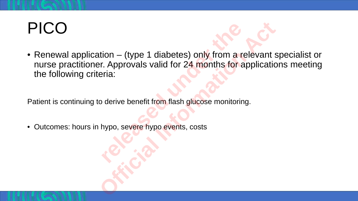# PICO

• Renewal application – (type 1 diabetes) only from a relevant specialist or nurse practitioner. Approvals valid for 24 months for applications meeting the following criteria: tion – (type 1 diabetes) only from a r<br>
r. Approvals valid for 24 months for a<br>
ria:<br>
b derive benefit from flash glucose monitorir<br>
hypo, severe hypo events, costs tion – (type 1 diabetes) only from a relevant spectrum of the Approvals valid for 24 months for application eria:<br>
o derive benefit from flash glucose monitoring.<br>
hypo, severe hypo events, costs

Patient is continuing to derive benefit from flash glucose monitoring.

• Outcomes: hours in hypo, severe hypo events, costs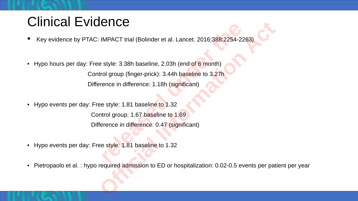#### Clinical Evidence

- Key evidence by PTAC: IMPACT trial (Bolinder et al. Lancet. 2016;388:2254-2263)
- Hypo hours per day: Free style: 3.38h baseline, 2.03h (end of 6 month)

Control group (finger-prick): 3.44h baseline to 3.27h Difference in difference: 1.18h (significant) **relative INPACT trial (Bolinder et al. Lancet. 2016;388:2254-2:**<br>
style: 3.38h baseline, 2.03h (end of 6 month)<br>
rol group (finger-prick): 3.44h baseline to 3.27h<br>
rence in difference: 1.18h (significant)<br>
e style: 1.81 b **ICCE**<br>
IMPACT trial (Bolinder et al. Lancet. 2016;388:2254-2263)<br>
e style: 3.38h baseline, 2.03h (end of 6 month)<br>
trol group (finger-prick): 3.44h baseline to 3.27h<br>
rence in difference: 1.18h (significant)<br>
ee style: 1.

• Hypo events per day: Free style: 1.81 baseline to 1.32

Control group: 1.67 baseline to 1.69 Difference in difference: 0.47 (significant)

- Hypo events per day: Free style: 1.81 baseline to 1.32
- Pietropaolo et al. : hypo required admission to ED or hospitalization: 0.02-0.5 events per patient per year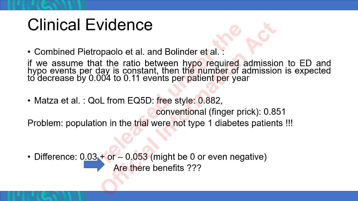## **Clinical Evidence**

• Combined Pietropaolo et al. and Bolinder et al. :

if we assume that the ratio between hypo required admission to ED and<br>hypo events per day is constant, then the number of admission is expected<br>to decrease by 0.004 to 0.11 events per patient per year

• Matza et al.: QoL from EQ5D: free style: 0.882,

conventional (finger prick): 0.851

Problem: population in the trial were not type 1 diabetes patients !!!

• Difference:  $0.03 + or - 0.053$  (might be 0 or even negative) Are there benefits ???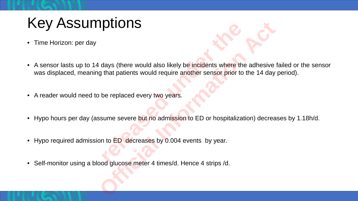### Key Assumptions

• Time Horizon: per day



- A sensor lasts up to 14 days (there would also likely be incidents where the adhesive failed or the sensor was displaced, meaning that patients would require another sensor prior to the 14 day period). **PLIOTIS**<br>
days (there would also likely be incidents where the<br>
that patients would require another sensor prior to<br>
be replaced every two years.<br>
sume severe but no admission to ED or hospitaliza<br>
n to ED decreases by 0. **OFFICIONS**<br>
Stays (there would also likely be incidents where the adhesive<br>
g that patients would require another sensor prior to the 14 day<br>
be replaced every two years.<br>
Sume severe but no admission to ED or hospitaliza
- A reader would need to be replaced every two years.
- Hypo hours per day (assume severe but no admission to ED or hospitalization) decreases by 1.18h/d.
- Hypo required admission to ED decreases by 0.004 events by year.
- Self-monitor using a blood glucose meter 4 times/d. Hence 4 strips /d.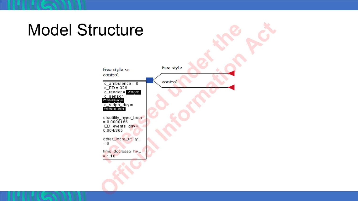#### **Model Structure** free style free style vs control control  $c_{\text{m}}$  combulence = 0<br>  $c_{\text{m}}$  ED = 326<br>  $c_{\text{m}}$  reader = Withheld  $c$  sensor =<br>Withheld under c\_strips\_day = disutility\_hypo\_hour<br>= 0.0000166  $ED_events_day =$ <br> $0.004/365$ other\_incre\_utility...  $= 0$ time\_docrease\_hy...<br>= 1.18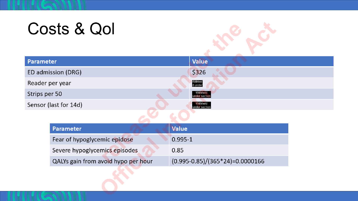# Costs & Qol



| Parameter             | <b>Value</b>              |
|-----------------------|---------------------------|
| ED admission (DRG)    | \$326                     |
| Reader per year       | Withhel<br>d under        |
| Strips per 50         | Withheld<br>under section |
| Sensor (last for 14d) | Withheld<br>under section |
|                       |                           |

| <b>Parameter</b>                    | <b>Value</b>                              |
|-------------------------------------|-------------------------------------------|
| Fear of hypoglycemic epidose        | $0.995 - 1$                               |
| Severe hypoglycemics episodes       | 0.85                                      |
| QALYs gain from avoid hypo per hour | $(0.995 - 0.85) / (365 * 24) = 0.0000166$ |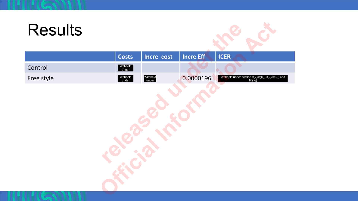# **Results**



|            | <b>Costs</b>      | Incre cost        | Incre Eff | <b>ICER</b>                                                    |
|------------|-------------------|-------------------|-----------|----------------------------------------------------------------|
| Control    | Withheld<br>under |                   |           |                                                                |
| Free style | Withheld<br>under | Withheld<br>under | 0.0000196 | Withheld under section 9(2)(b)(ii), 9(2)(ba)(i) and<br>9(2)(j) |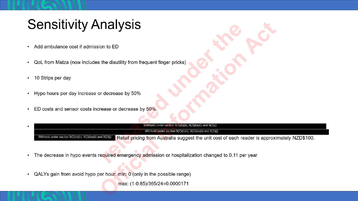#### **Sensitivity Analysis**

- Add ambulance cost if admission to ED  $\bullet$
- QoL from Matza (now includes the disutility from frequent finger pricks) ٠
- 10 Strips per day  $\bullet$
- Hypo hours per day increase or decrease by 50%  $\bullet$
- ED costs and sensor costs increase or decrease by 50%.  $\bullet$

|                                                             | Withheld under section 9(2)(b)(ii), 9(2)(ba)(i) and 9(2)(j)                                                                                                  |  |  |  |  |
|-------------------------------------------------------------|--------------------------------------------------------------------------------------------------------------------------------------------------------------|--|--|--|--|
| Withheld under section 9(2)(b)(ii), 9(2)(ba)(i) and 9(2)(j) |                                                                                                                                                              |  |  |  |  |
|                                                             | Withheld under section 9(2)(b)(ii), 9(2)(ba)(i) and 9(2)(j)<br>Retail pricing from Australia suggest the unit cost of each reader is approximately NZD\$100. |  |  |  |  |

- The decrease in hypo events required emergency admission or hospitalization changed to 0.11 per year
- QALYs gain from avoid hypo per hour: min: 0 (only in the possible range)

max: (1-0.85)/365/24=0.0000171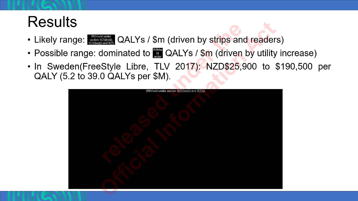### **Results**

- Likely range: section 9(2)(b)(ii), QALYs / \$m (driven by strips and readers)
- Possible range: dominated to  $\frac{m}{m}$  QALYs / \$m (driven by utility increase)
- . In Sweden(FreeStyle Libre, TLV 2017): NZD\$25,900 to \$190,500 per QALY (5.2 to 39.0 QALYs per \$M).

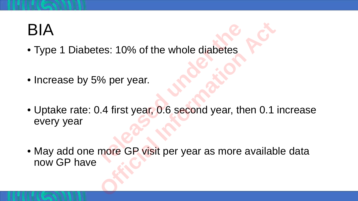## BIA

- Type 1 Diabetes: 10% of the whole diabetes
- Increase by 5% per year.
- Uptake rate: 0.4 first year, 0.6 second year, then 0.1 increase every year **releases**<br> **10% of the whole diabetes<br>
4 first year, 0.6 second year, therefore GP visit per year as more** es: 10% of the whole diabetes<br>% per year.<br>0.4 first year, 0.6 second year, then 0.1<br>more GP visit per year as more availab
- May add one more GP visit per year as more available data now GP have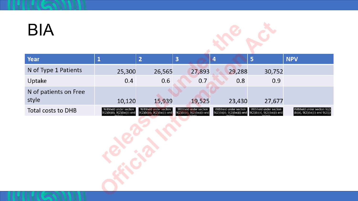## **BIA**



| Year                           | $\mathbf{1}$                                           | $\overline{2}$                                           | $\overline{\mathbf{3}}$                                | $\overline{\mathbf{4}}$                                | 5                                                      | <b>NPV</b>                                                      |
|--------------------------------|--------------------------------------------------------|----------------------------------------------------------|--------------------------------------------------------|--------------------------------------------------------|--------------------------------------------------------|-----------------------------------------------------------------|
| N of Type 1 Patients           | 25,300                                                 | 26,565                                                   | 27,893                                                 | 29,288                                                 | 30,752                                                 |                                                                 |
| Uptake                         | 0.4                                                    | 0.6                                                      | 0.7                                                    | 0.8                                                    | 0.9                                                    |                                                                 |
| N of patients on Free<br>style | 10,120                                                 | 15,939                                                   | 19,525                                                 | 23,430                                                 | 27,677                                                 |                                                                 |
| <b>Total costs to DHB</b>      | Withheld under section<br>9(2)(b)(ii), 9(2)(ba)(i) and | Withheld under section<br>$9(2)(b)(ii), 9(2)(ba)(i)$ and | Withheld under section<br>9(2)(b)(ii), 9(2)(ba)(i) and | Withheld under section<br>9(2)(b)(ii), 9(2)(ba)(i) and | Withheld under section<br>9(2)(b)(ii), 9(2)(ba)(i) and | Withheld under section 9(2)<br>(b)(ii), 9(2)(ba)(i) and 9(2)(j) |
|                                |                                                        |                                                          |                                                        |                                                        |                                                        |                                                                 |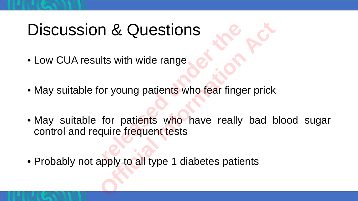# Discussion & Questions

- Low CUA results with wide range
- May suitable for young patients who fear finger prick
- May suitable for patients who have really bad blood sugar control and require frequent tests **release 1 Allen Strategier Sections**<br>the with wide range<br>or young patients who fear finger<br>for patients who have really<br>quire frequent tests<br>poly to all type 1 diabetes patients **Official Information Act**
- Probably not apply to all type 1 diabetes patients